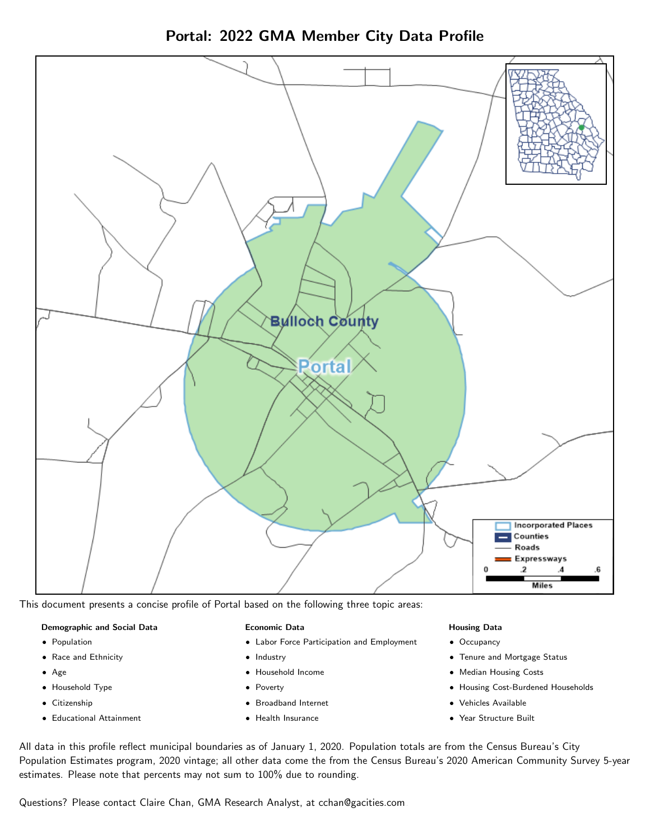Portal: 2022 GMA Member City Data Profile



This document presents a concise profile of Portal based on the following three topic areas:

### Demographic and Social Data

- **•** Population
- Race and Ethnicity
- Age
- Household Type
- **Citizenship**
- Educational Attainment

### Economic Data

- Labor Force Participation and Employment
- Industry
- Household Income
- Poverty
- Broadband Internet
- Health Insurance

### Housing Data

- Occupancy
- Tenure and Mortgage Status
- Median Housing Costs
- Housing Cost-Burdened Households
- Vehicles Available
- Year Structure Built

All data in this profile reflect municipal boundaries as of January 1, 2020. Population totals are from the Census Bureau's City Population Estimates program, 2020 vintage; all other data come the from the Census Bureau's 2020 American Community Survey 5-year estimates. Please note that percents may not sum to 100% due to rounding.

Questions? Please contact Claire Chan, GMA Research Analyst, at [cchan@gacities.com.](mailto:cchan@gacities.com)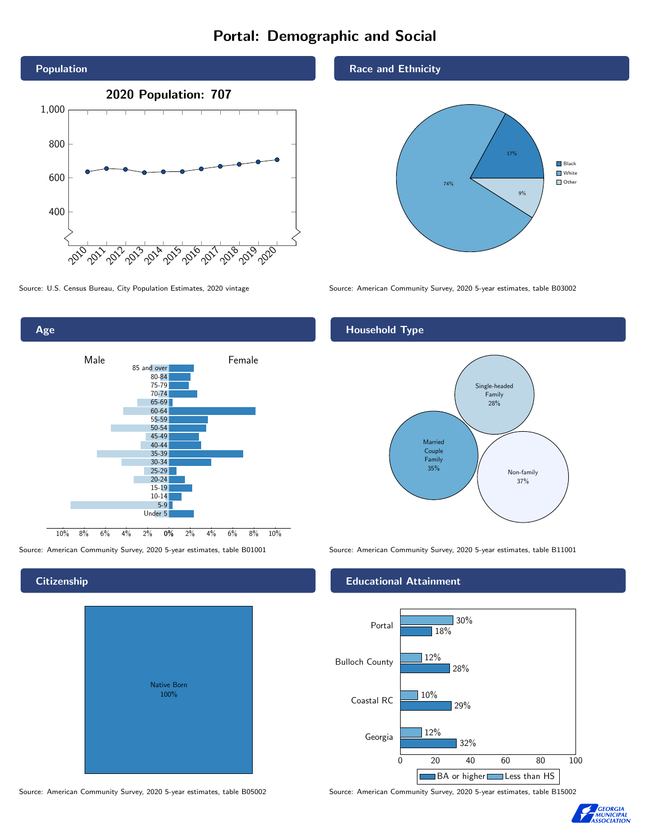# Portal: Demographic and Social





0% 2% 4% 6% 8% 10% Male **Female** Female 10% 8% 6% 4% 2% 85 and over 80-84 75-79 70-74 65-69 60-64 55-59 50-54 45-49 40-44 35-39 30-34  $25 - 29$ 20-24 15-19 10-14 5-9 Under 5

### **Citizenship**

Age

| <b>Native Born</b><br>100% |  |
|----------------------------|--|

Source: American Community Survey, 2020 5-year estimates, table B05002 Source: American Community Survey, 2020 5-year estimates, table B15002

### Race and Ethnicity



Source: U.S. Census Bureau, City Population Estimates, 2020 vintage Source: American Community Survey, 2020 5-year estimates, table B03002

### Household Type



Source: American Community Survey, 2020 5-year estimates, table B01001 Source: American Community Survey, 2020 5-year estimates, table B11001

### Educational Attainment



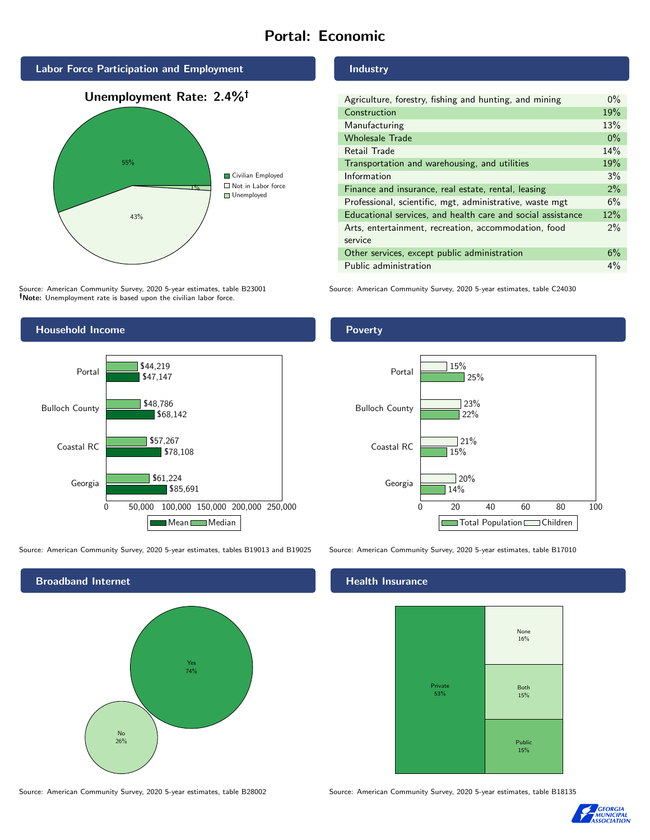# Portal: Economic



Source: American Community Survey, 2020 5-year estimates, table B23001 Note: Unemployment rate is based upon the civilian labor force.

# Household Income



Source: American Community Survey, 2020 5-year estimates, tables B19013 and B19025 Source: American Community Survey, 2020 5-year estimates, table B17010



Industry

Poverty

| Agriculture, forestry, fishing and hunting, and mining      | $0\%$ |
|-------------------------------------------------------------|-------|
| Construction                                                | 19%   |
| Manufacturing                                               | 13%   |
| <b>Wholesale Trade</b>                                      | $0\%$ |
| Retail Trade                                                | 14%   |
| Transportation and warehousing, and utilities               |       |
| Information                                                 | 3%    |
| Finance and insurance, real estate, rental, leasing         |       |
| Professional, scientific, mgt, administrative, waste mgt    |       |
| Educational services, and health care and social assistance |       |
| Arts, entertainment, recreation, accommodation, food        |       |
| service                                                     |       |
| Other services, except public administration                |       |
| Public administration                                       |       |

Source: American Community Survey, 2020 5-year estimates, table C24030

### 0 20 40 60 80 100 Georgia Coastal RC Bulloch County Portal 14% 15% 22% 25%  $720%$  $21%$ 23% 15% Total Population Children

### **Health Insurance**



Source: American Community Survey, 2020 5-year estimates, table B28002 Source: American Community Survey, 2020 5-year estimates, table B18135